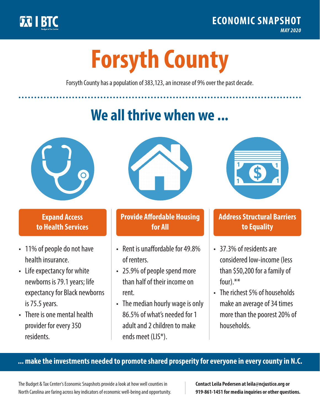

**1**

# **Forsyth County**

Forsyth County has a population of 383,123, an increase of 9% over the past decade.

# **We all thrive when we ...**



**\$ <sup>1</sup>**

**\$ <sup>1</sup>**

## **Expand Access to Health Services**

- 11% of people do not have health insurance.
- Life expectancy for white newborns is 79.1years; life expectancy for Black newborns is 75.5 years.
- There is one mental health provider for every 350 residents.



## **Provide Affordable Housing for All**

- Rent is unaffordable for 49.8% of renters.
- 25.9% of people spend more than half of their income on rent.
- The median hourly wage is only 86.5% of what's needed for 1 adult and 2 children to make ends meet (LIS\*).



## **Address Structural Barriers to Equality**

- 37.3% of residents are considered low-income (less than \$50,200 for a family of four).\*\*
- The richest 5% of households make an average of 34 times more than the poorest 20% of households.

#### **... make the investments needed to promote shared prosperity for everyone in every county in N.C.**

The Budget & Tax Center's Economic Snapshots provide a look at how well counties in North Carolina are faring across key indicators of economic well-being and opportunity.